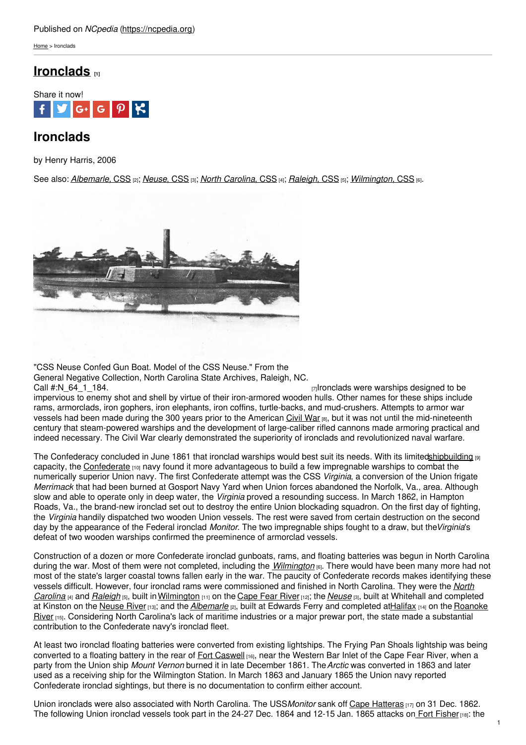## Published on *NCpedia* [\(https://ncpedia.org](https://ncpedia.org))

[Home](https://ncpedia.org/) > Ironclads

## **[Ironclads](https://ncpedia.org/ironclads) [1]**



# **Ironclads**

by Henry Harris, 2006

See also: *[Albemarle,](https://ncpedia.org/albemarle-css)* CSS [2]; *[Neuse](https://ncpedia.org/neuse-css)*, CSS [3]; *North [Carolina](https://ncpedia.org/north-carolina-css)*, CSS [4]; *[Raleigh](https://ncpedia.org/raleigh-css)*, CSS [5]; *[Wilmington](https://ncpedia.org/wilmington-css)*, CSS [6].



"CSS Neuse Confed Gun Boat. Model of the CSS Neuse." From the General Negative Collection, North Carolina State Archives, Raleigh, NC.

Call [#:N\\_64\\_1\\_184.](https://www.flickr.com/photos/north-carolina-state-archives/4273502731/) Call +:N\_64\_1\_184. [7] Call +:N\_64\_1\_184. [7] Ironclads were warships designed to be impervious to enemy shot and shell by virtue of their iron-armored wooden hulls. Other names for these ships include rams, armorclads, iron gophers, iron elephants, iron coffins, turtle-backs, and mud-crushers. Attempts to armor war vessels had been made during the 300 years prior to the American [Civil](https://ncpedia.org/civil-war) War [8], but it was not until the mid-nineteenth century that steam-powered warships and the development of large-caliber rifled cannons made armoring practical and indeed necessary. The Civil War clearly demonstrated the superiority of ironclads and revolutionized naval warfare.

The Confederacy concluded in June 1861 that ironclad warships would best suit its needs. With its limite[dshipbuilding](https://ncpedia.org/shipbuilding) [9] capacity, the [Confederate](https://ncpedia.org/confederate-party) [10] navy found it more advantageous to build a few impregnable warships to combat the numerically superior Union navy. The first Confederate attempt was the CSS *Virginia*, a conversion of the Union frigate *Merrimack* that had been burned at Gosport Navy Yard when Union forces abandoned the Norfolk, Va., area. Although slow and able to operate only in deep water, the *Virginia* proved a resounding success. In March 1862, in Hampton Roads, Va., the brand-new ironclad set out to destroy the entire Union blockading squadron. On the first day of fighting, the *Virginia* handily dispatched two wooden Union vessels. The rest were saved from certain destruction on the second day by the appearance of the Federal ironclad *Monitor*. The two impregnable ships fought to a draw, but the*Virginia*'s defeat of two wooden warships confirmed the preeminence of armorclad vessels.

Construction of a dozen or more Confederate ironclad gunboats, rams, and floating batteries was begun in North Carolina during the war. Most of them were not completed, including the *[Wilmington](https://ncpedia.org/wilmington-css)* [6]. There would have been many more had not most of the state's larger coastal towns fallen early in the war. The paucity of Confederate records makes identifying these vessels difficult. However, four ironclad rams were [commissioned](https://ncpedia.org/north-carolina-css) and finished in North Carolina. They were the *North Carolina* [4] and *[Raleigh](https://ncpedia.org/raleigh-css)* [5], built in[Wilmington](https://ncpedia.org/geography/wilmington) [11] on the [Cape](https://ncpedia.org/rivers/cape-fear) Fear River [12]; the *[Neuse](https://ncpedia.org/neuse-css)* [3], built at Whitehall and completed at Kinston on the [Neuse](https://ncpedia.org/rivers/neuse) River [13]; and the *[Albemarle](https://ncpedia.org/albemarle-css)* [2], built at Edwards Ferry and completed at Halifax [14] on the Roanoke River [15]. [Considering](https://ncpedia.org/rivers/roanoke) North Carolina's lack of maritime industries or a major prewar port, the state made a substantial contribution to the Confederate navy's ironclad fleet.

At least two ironclad floating batteries were converted from existing lightships. The Frying Pan Shoals lightship was being converted to a floating battery in the rear of Fort [Caswell](https://ncpedia.org/fort-caswell) [16], near the Western Bar Inlet of the Cape Fear River, when a party from the Union ship *Mount Vernon* burned it in late December 1861. The*Arctic* was converted in 1863 and later used as a receiving ship for the Wilmington Station. In March 1863 and January 1865 the Union navy reported Confederate ironclad sightings, but there is no documentation to confirm either account.

Union ironclads were also associated with North Carolina. The USS*Monitor* sank off Cape [Hatteras](https://ncpedia.org/cape-hatteras-national-seashore) [17] on 31 Dec. 1862. The following Union ironclad vessels took part in the 24-27 Dec. 1864 and 12-15 Jan. 1865 attacks on Fort [Fisher](https://ncpedia.org/node/152) [18]: the